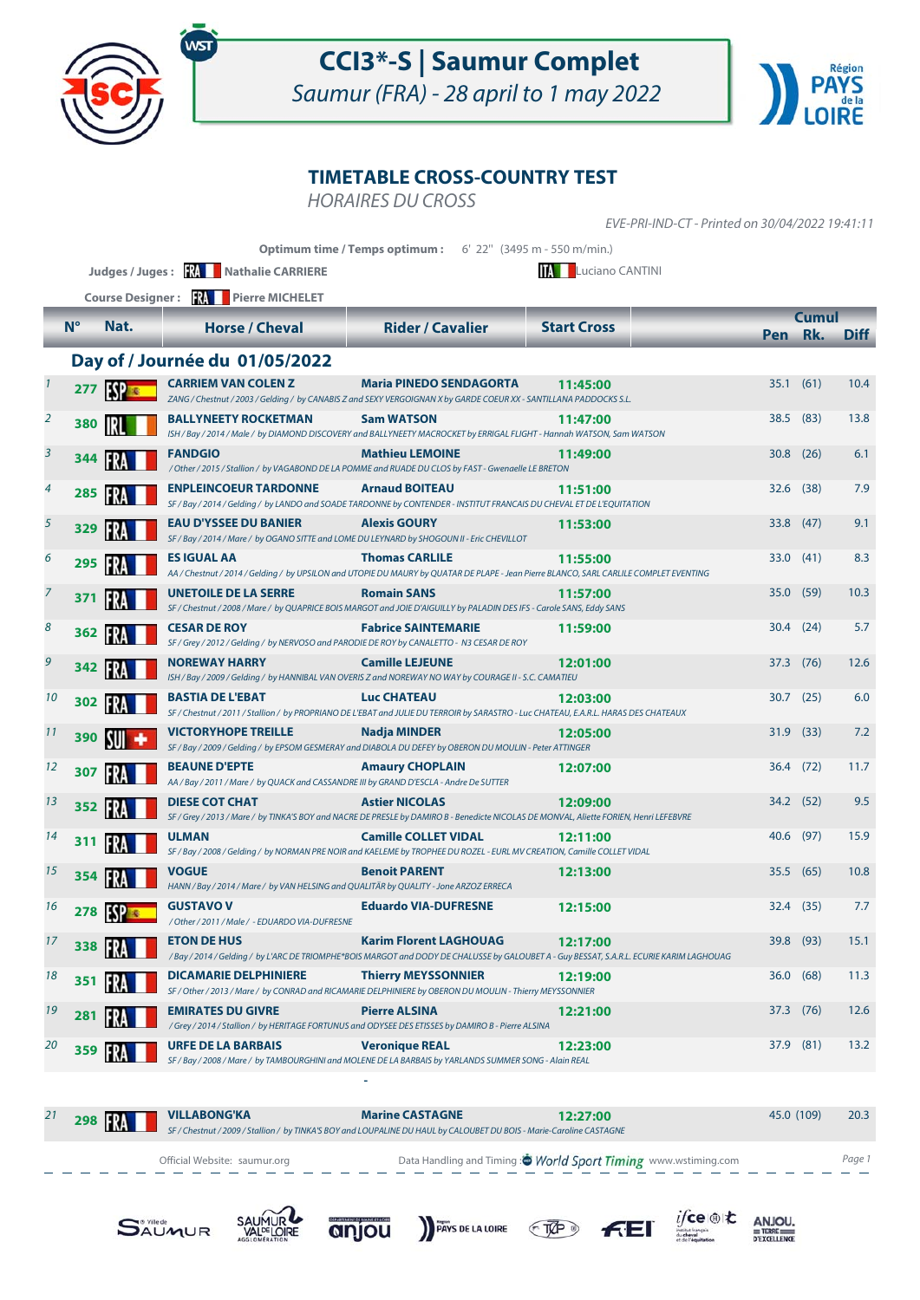

Saumur (FRA) - 28 april to 1 may 2022



#### **TIMETABLE CROSS-COUNTRY TEST**

HORAIRES DU CROSS

**Optimum time / Temps optimum :** 6' 22'' (3495 m - 550 m/min.) **N° Nat. Horse / Cheval Rider / Cavalier Start Cross Cumul Pen Rk. Diff Judges / Juges : RAUL Nathalie CARRIERE** Luciano CANTINI **Course Designer : Pierre MICHELET** EVE-PRI-IND-CT - Printed on 30/04/2022 19:41:11 **Day of / Journée du 01/05/2022 ESP REFEREM VAN COLEN Z**<br>
ZANG / Chestnut / 2003 / Gelding / by CANABIS Z and SEXY VERGOIGNAN X by GARDE COEUR XX - SANTILLANA PADDOCKS S.L. **11:45:00** CARRIEM VAN COLEN Z Maria PINEDO SENDAGORTA 11:45:00 35.1 (61) 10.4 **IRL BALLYNEETY ROCKETMAN Sam WATSON** 11:47:00<br>
ISH / Bay / 2014 / Male / by DIAMOND DISCOVERY and BALLYNEETY MACROCKET by ERRIGAL FLIGHT - Hannah WATSON, Sam WATSON **280 101 BALLYNEETY ROCKETMAN Sam WATSON 11:47:00 13.8 38.5** (83) **13.8 344 FANDGIO Mathieu LEMOINE 1**<br>
/ Other / 2015 / Stallion / by VAGABOND DE LA POMME and RUADE DU CLOS by FAST - Gwenaelle LE BRETON **3 11:49:00 11:49:00 30.8** (26) **6.1 11:49:00 30.8** (26) **6.1** FRA **ENPLEINCOEUR TARDONNE 285 Arnaud BOITEAU** 4 **11:51:00** 32.6 (38) 7.9 SF / Bay / 2014 / Gelding / by LANDO and SOADE TARDONNE by CONTENDER - INSTITUT FRANCAIS DU CHEVAL ET DE L'EQUITATION **329 <b>ALEXIS EXU D'YSSEE DU BANIER** Alexis GOURY<br>
SF/Bay/2014/Mare/ by OGANO SITTE and LOME DU LEYNARD by SHOGOUN II - Eric CHEVILLOT **5 11:53:00 11:53:00 33.8** (47) 9.1 FRA **ES IGUAL AA 295 Thomas CARLILE** AA / Chestnut / 2014 / Gelding / by UPSILON and UTOPIE DU MAURY by QUATAR DE PLAPE - Jean Pierre BLANCO, SARL CARLILE COMPLET EVENTING 6 **11:55:00** 33.0 (41) 8.3 FRA **UNETOILE DE LA SERRE 371 Romain SANS** 7 **11:57:00** 35.0 (59) 10.3 SF / Chestnut / 2008 / Mare / by QUAPRICE BOIS MARGOT and JOIE D'AIGUILLY by PALADIN DES IFS - Carole SANS, Eddy SANS **362 FRA CESAR DE ROY Fabrice SAINTEMARIE**<br>
SF/Grey/2012/Gelding/by NERVOSO and PARODIE DE ROY by CANALETTO - N3 CESAR DE ROY 8 **362 TV CESAR DE ROY Fabrice SAINTEMARIE 11:59:00** 30.4 (24) 5.7 **342 CAMPLE IS NOREWAY HARRY Camille LEJEUNE 12: CAMATIEURE 12: CAMATIEURE 12: CAMATIEURE 12: CAMATIEURE 12: CAMATIEURE 12: CAMATIEURE 12: CAMATIEURE 12: CAMATIEURE 12: CAMATIEURE** 9 **12:01:00** 37.3 (76) 12.6 FRA **BASTIA DE L'EBAT 302 Luc CHATEAU** SF / Chestnut / 2011 / Stallion / by PROPRIANO DE L'EBAT and JULIE DU TERROIR by SARASTRO - Luc CHATEAU, E.A.R.L. HARAS DES CHATEAUX 10 **10 12:03:00** 30.7 (25) 6.0 SUI **VICTORYHOPE TREILLE 390 Nadja MINDER** 11 **12:05:00** 31.9 (33) 7.2 SF / Bay / 2009 / Gelding / by EPSOM GESMERAY and DIABOLA DU DEFEY by OBERON DU MOULIN - Peter ATTINGER FRA **BEAUNE D'EPTE 307 Amaury CHOPLAIN** 12 **12:07:00** 36.4 (72) 11.7 AA / Bay / 2011 / Mare / by QUACK and CASSANDRE III by GRAND D'ESCLA - Andre De SUTTER **352 And Struct CORT CHAT Astier NICOLAS 12:09:00**<br>
SF/Grey / 2013 / Mare / by TINKA'S BOY and NACRE DE PRESLE by DAMIRO B - Benedicte NICOLAS DE MONVAL, Aliette FORIEN, Henri LEFEBVRE 13 **13 <b>13 12:09:00 12:09:00 12:09:00 14:00 12:09:00 12:09:00 12:09:00 12:09:00 12:09:00 12:09:00 12:09:00 12:09:00 12:09:00 12:09:00 12:09:00 12:09:00 12:09:00 12:09:00 12:00:00 12:00 FRA ULMAN Camille COLLET VIDAL 12:11:00**<br>
SF/Bay/2008/Gelding/ by NORMAN PRE NOIR and KAELEME by TROPHEE DU ROZEL - EURL MV CREATION, Camille COLLET VIDAL **14 311 FV. LUMAN Camille COLLET VIDAL 12:11:00 40.6 (97)** 15.9 **354 Benoit PARENT**<br>
HANN / Bay / 2014 / Mare / by VAN HELSING and QUALITÄR by QUALITY - Jone ARZOZ ERRECA 15 **12:13:00** 35.5 (65) 10.8 ESP **GUSTAVO V 278 Eduardo VIA-DUFRESNE** 16 **12:15:00** 32.4 (35) 7.7 / Other / 2011 / Male / - EDUARDO VIA-DUFRESNE 17 **12:17:00 12:17:00 12:17:00 13:1 12:17:00 12:17:00 13:1** 



**21 <b>12:27:00** 45.0 (109) 20.3 Marine CASTAGNE 12:27:00 45.0 (109) 20.3 **298 Marine CASTAGNE 12:27:00**<br> *SF/Chestnut / 2009 / Stallion / by TINKA'S BOY and LOUPALINE DU HAUL by CALOUBET DU BOIS - Marie-Caroline CASTAGNE* Official Website: saumur.org **Data Handling and Timing : World Sport Timing** www.wstiming.com Page 1 **ANJOU** 





anjou

 **-** 



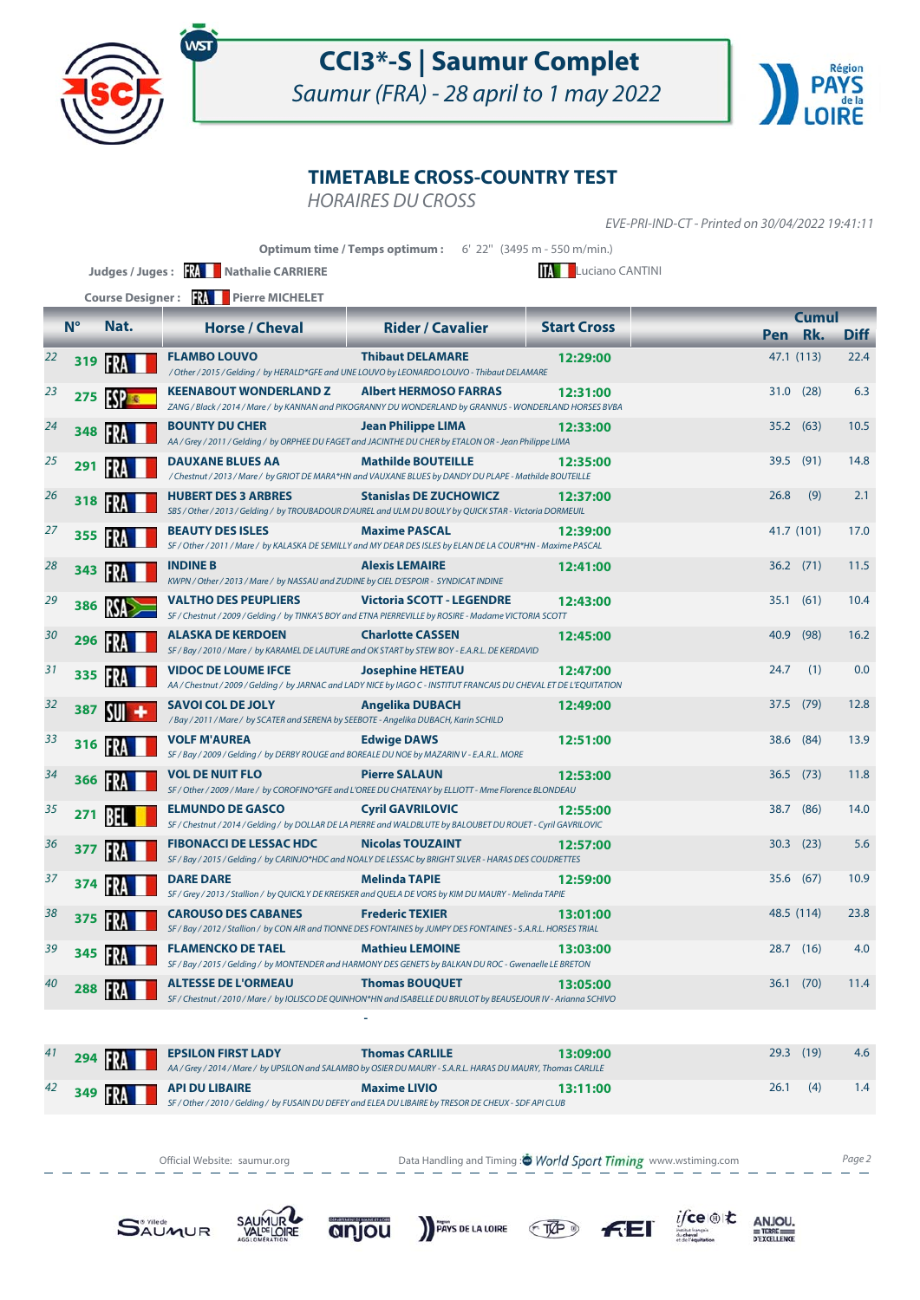

Saumur (FRA) - 28 april to 1 may 2022



### **TIMETABLE CROSS-COUNTRY TEST**

HORAIRES DU CROSS

EVE-PRI-IND-CT - Printed on 30/04/2022 19:41:11

|    |             |              | Judges / Juges: <b>WALER Mathalie CARRIERE</b>                                                                                                    | Optimum time / Temps optimum: 6' 22" (3495 m - 550 m/min.) | <b>TAL</b> Luciano CANTINI |      |              |             |
|----|-------------|--------------|---------------------------------------------------------------------------------------------------------------------------------------------------|------------------------------------------------------------|----------------------------|------|--------------|-------------|
|    |             |              | Course Designer: <b>XX</b> Pierre MICHELET                                                                                                        |                                                            |                            |      |              |             |
|    | $N^{\circ}$ | Nat.         | <b>Horse / Cheval</b>                                                                                                                             | <b>Rider / Cavalier</b>                                    | <b>Start Cross</b>         |      | <b>Cumul</b> |             |
|    |             |              |                                                                                                                                                   |                                                            |                            | Pen  | Rk.          | <b>Diff</b> |
| 22 | 319         | <b>FRA</b>   | <b>FLAMBO LOUVO</b><br>/Other / 2015 / Gelding / by HERALD*GFE and UNE LOUVO by LEONARDO LOUVO - Thibaut DELAMARE                                 | <b>Thibaut DELAMARE</b>                                    | 12:29:00                   |      | 47.1 (113)   | 22.4        |
| 23 | 275         | <b>ISPEC</b> | <b>KEENABOUT WONDERLAND Z</b><br>ZANG / Black / 2014 / Mare / by KANNAN and PIKOGRANNY DU WONDERLAND by GRANNUS - WONDERLAND HORSES BVBA          | <b>Albert HERMOSO FARRAS</b>                               | 12:31:00                   | 31.0 | (28)         | 6.3         |
| 24 | 348         |              | <b>BOUNTY DU CHER</b><br>AA / Grey / 2011 / Gelding / by ORPHEE DU FAGET and JACINTHE DU CHER by ETALON OR - Jean Philippe LIMA                   | <b>Jean Philippe LIMA</b>                                  | 12:33:00                   | 35.2 | (63)         | 10.5        |
| 25 | 291         | FR.          | <b>DAUXANE BLUES AA</b><br>/ Chestnut / 2013 / Mare / by GRIOT DE MARA*HN and VAUXANE BLUES by DANDY DU PLAPE - Mathilde BOUTEILLE                | <b>Mathilde BOUTEILLE</b>                                  | 12:35:00                   |      | 39.5 (91)    | 14.8        |
| 26 | 318         | IFRA         | <b>HUBERT DES 3 ARBRES</b><br>SBS / Other / 2013 / Gelding / by TROUBADOUR D'AUREL and ULM DU BOULY by QUICK STAR - Victoria DORMEUIL             | <b>Stanislas DE ZUCHOWICZ</b>                              | 12:37:00                   | 26.8 | (9)          | 2.1         |
| 27 | 355         | FR.          | <b>BEAUTY DES ISLES</b><br>SF / Other / 2011 / Mare / by KALASKA DE SEMILLY and MY DEAR DES ISLES by ELAN DE LA COUR*HN - Maxime PASCAL           | <b>Maxime PASCAL</b>                                       | 12:39:00                   |      | 41.7 (101)   | 17.0        |
| 28 | 343         | IFR          | <b>INDINE B</b><br>KWPN / Other / 2013 / Mare / by NASSAU and ZUDINE by CIEL D'ESPOIR - SYNDICAT INDINE                                           | <b>Alexis LEMAIRE</b>                                      | 12:41:00                   |      | $36.2$ (71)  | 11.5        |
| 29 | 386         | <b>RSA</b>   | <b>VALTHO DES PEUPLIERS</b><br>SF / Chestnut / 2009 / Gelding / by TINKA'S BOY and ETNA PIERREVILLE by ROSIRE - Madame VICTORIA SCOTT             | <b>Victoria SCOTT - LEGENDRE</b>                           | 12:43:00                   | 35.1 | (61)         | 10.4        |
| 30 | 296         | IFRA         | <b>ALASKA DE KERDOEN</b><br>SF / Bay / 2010 / Mare / by KARAMEL DE LAUTURE and OK START by STEW BOY - E.A.R.L. DE KERDAVID                        | <b>Charlotte CASSEN</b>                                    | 12:45:00                   | 40.9 | (98)         | 16.2        |
| 31 | 335         | FR           | <b>VIDOC DE LOUME IFCE</b><br>AA / Chestnut / 2009 / Gelding / by JARNAC and LADY NICE by IAGO C - INSTITUT FRANCAIS DU CHEVAL ET DE L'EQUITATION | <b>Josephine HETEAU</b>                                    | 12:47:00                   | 24.7 | (1)          | 0.0         |
| 32 | 387         | <b>SUI</b>   | <b>SAVOI COL DE JOLY</b><br>/Bay / 2011 / Mare / by SCATER and SERENA by SEEBOTE - Angelika DUBACH, Karin SCHILD                                  | <b>Angelika DUBACH</b>                                     | 12:49:00                   |      | 37.5 (79)    | 12.8        |
| 33 | 316         |              | <b>VOLF M'AUREA</b><br>SF / Bay / 2009 / Gelding / by DERBY ROUGE and BOREALE DU NOE by MAZARIN V - E.A.R.L. MORE                                 | <b>Edwige DAWS</b>                                         | 12:51:00                   | 38.6 | (84)         | 13.9        |
| 34 | 366         | FR           | <b>VOL DE NUIT FLO</b><br>SF / Other / 2009 / Mare / by COROFINO*GFE and L'OREE DU CHATENAY by ELLIOTT - Mme Florence BLONDEAU                    | <b>Pierre SALAUN</b>                                       | 12:53:00                   | 36.5 | (73)         | 11.8        |
| 35 | 271         | BFI          | <b>ELMUNDO DE GASCO</b><br>SF / Chestnut / 2014 / Gelding / by DOLLAR DE LA PIERRE and WALDBLUTE by BALOUBET DU ROUET - Cyril GAVRILOVIC          | <b>Cyril GAVRILOVIC</b>                                    | 12:55:00                   |      | 38.7 (86)    | 14.0        |
| 36 | 377         |              | <b>FIBONACCI DE LESSAC HDC</b><br>SF / Bay / 2015 / Gelding / by CARINJO*HDC and NOALY DE LESSAC by BRIGHT SILVER - HARAS DES COUDRETTES          | <b>Nicolas TOUZAINT</b>                                    | 12:57:00                   | 30.3 | (23)         | 5.6         |
| 37 | 374         | IFR.         | <b>DARE DARE</b><br>SF / Grey / 2013 / Stallion / by QUICKLY DE KREISKER and QUELA DE VORS by KIM DU MAURY - Melinda TAPIE                        | <b>Melinda TAPIE</b>                                       | 12:59:00                   |      | 35.6 (67)    | 10.9        |
| 38 | 375         |              | <b>CAROUSO DES CABANES</b><br>SF / Bay / 2012 / Stallion / by CON AIR and TIONNE DES FONTAINES by JUMPY DES FONTAINES - S.A.R.L. HORSES TRIAL     | <b>Frederic TEXIER</b>                                     | 13:01:00                   |      | 48.5 (114)   | 23.8        |
| 39 | 345         |              | <b>FLAMENCKO DE TAEL</b><br>SF / Bay / 2015 / Gelding / by MONTENDER and HARMONY DES GENETS by BALKAN DU ROC - Gwenaelle LE BRETON                | <b>Mathieu LEMOINE</b>                                     | 13:03:00                   | 28.7 | (16)         | 4.0         |
| 40 | 288         |              | <b>ALTESSE DE L'ORMEAU</b><br>SF / Chestnut / 2010 / Mare / by IOLISCO DE QUINHON*HN and ISABELLE DU BRULOT by BEAUSEJOUR IV - Arianna SCHIVO     | <b>Thomas BOUQUET</b>                                      | 13:05:00                   |      | 36.1(70)     | 11.4        |
|    |             |              |                                                                                                                                                   |                                                            |                            |      |              |             |

| 41 | $294$ $\frac{1}{24}$ | <b>EPSILON FIRST LADY</b>           | <b>Thomas CARLILE</b><br>AA / Grey / 2014 / Mare / by UPSILON and SALAMBO by OSIER DU MAURY - S.A.R.L. HARAS DU MAURY, Thomas CARLILE | 13:09:00 | $29.3$ (19) |  | 4.6 |  |
|----|----------------------|-------------------------------------|---------------------------------------------------------------------------------------------------------------------------------------|----------|-------------|--|-----|--|
|    |                      | 42 349 $\frac{1}{2}$ API DU LIBAIRE | <b>Maxime LIVIO</b>                                                                                                                   | 13:11:00 | $26.1$ (4)  |  | 1.4 |  |
|    |                      |                                     | SF / Other / 2010 / Gelding / by FUSAIN DU DEFEY and ELEA DU LIBAIRE by TRESOR DE CHEUX - SDF API CLUB                                |          |             |  |     |  |

PAYS DE LA LOIRE TAP

Official Website: saumur.org **Data Handling and Timing : World Sport Timing** www.wstiming.com Page 2

 $f(E)$ 

 $i$ fce  $\circledast$ t $\star$ 

 $\underset{\substack{\text{D} \text{ERRE} \\ \text{D} \text{EXCELLENE}}}{\text{AD} \times \text{D}}$ 





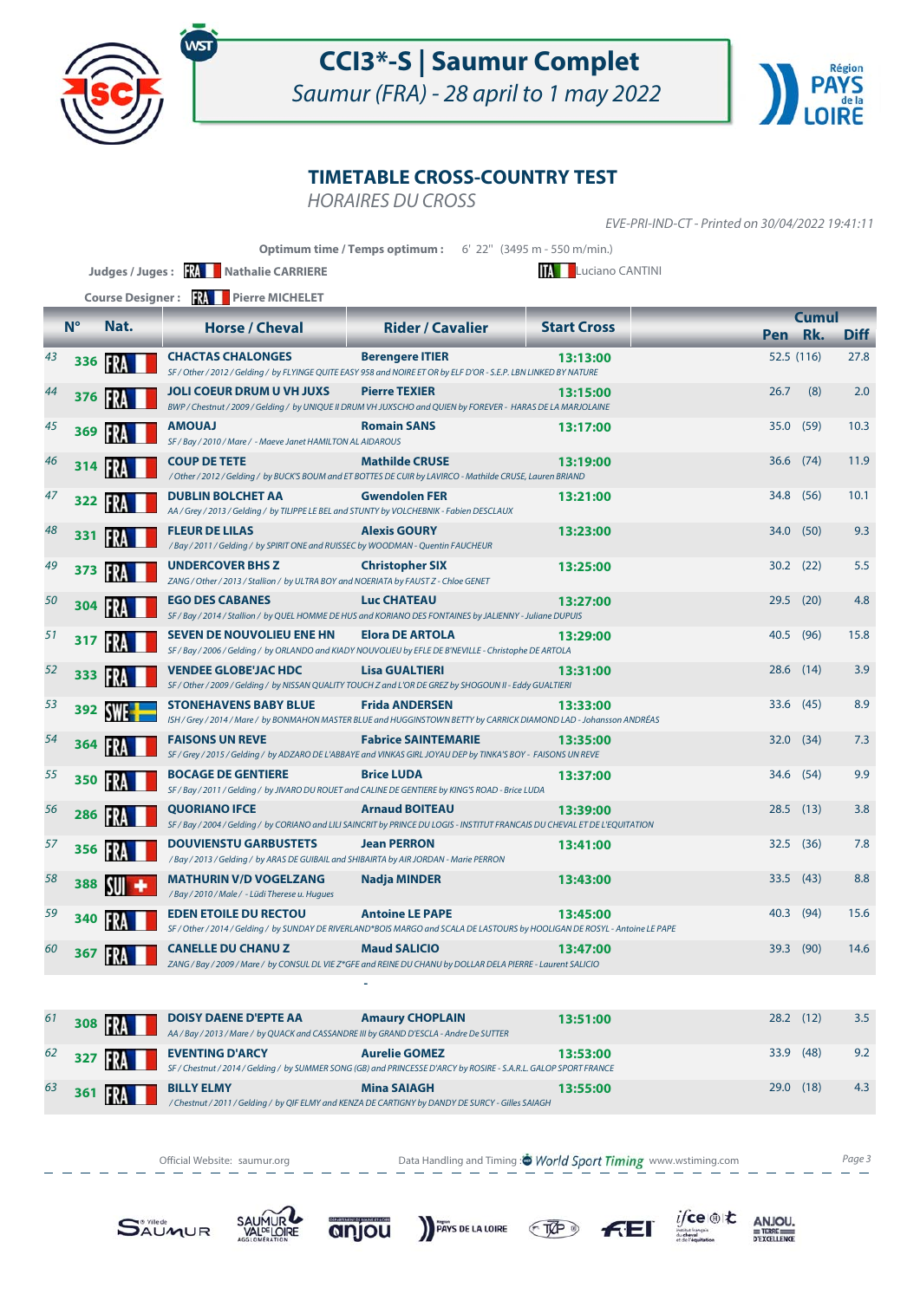

Saumur (FRA) - 28 april to 1 may 2022



### **TIMETABLE CROSS-COUNTRY TEST**

HORAIRES DU CROSS

EVE-PRI-IND-CT - Printed on 30/04/2022 19:41:11

|    |             |               |                                                                                                                                                              | <b>Optimum time / Temps optimum:</b> 6' 22" (3495 m - 550 m/min.) |                             |      |                         |             |
|----|-------------|---------------|--------------------------------------------------------------------------------------------------------------------------------------------------------------|-------------------------------------------------------------------|-----------------------------|------|-------------------------|-------------|
|    |             |               | Judges / Juges: <b>WAN</b> Nathalie CARRIERE                                                                                                                 |                                                                   | <b>TA EL</b> uciano CANTINI |      |                         |             |
|    |             |               | Course Designer: <b>We Pierre MICHELET</b>                                                                                                                   |                                                                   |                             |      |                         |             |
|    | $N^{\circ}$ | Nat.          | <b>Horse / Cheval</b>                                                                                                                                        | <b>Rider / Cavalier</b>                                           | <b>Start Cross</b>          |      | <b>Cumul</b><br>Pen Rk. | <b>Diff</b> |
| 43 | 336         | <b>FRA</b>    | <b>CHACTAS CHALONGES</b><br>SF / Other / 2012 / Gelding / by FLYINGE QUITE EASY 958 and NOIRE ET OR by ELF D'OR - S.E.P. LBN LINKED BY NATURE                | <b>Berengere ITIER</b>                                            | 13:13:00                    |      | 52.5 (116)              | 27.8        |
| 44 | 376         | <b>FRA</b>    | <b>JOLI COEUR DRUM U VH JUXS</b><br>BWP / Chestnut / 2009 / Gelding / by UNIQUE II DRUM VH JUXSCHO and QUIEN by FOREVER - HARAS DE LA MARJOLAINE             | <b>Pierre TEXIER</b>                                              | 13:15:00                    | 26.7 | (8)                     | 2.0         |
| 45 | 369         | <b>FRA</b>    | <b>LAUOMA</b><br>SF / Bay / 2010 / Mare / - Maeve Janet HAMILTON AL AIDAROUS                                                                                 | <b>Romain SANS</b>                                                | 13:17:00                    |      | 35.0 (59)               | 10.3        |
| 46 | 314         | 197           | <b>COUP DE TETE</b><br>/ Other / 2012 / Gelding / by BUCK'S BOUM and ET BOTTES DE CUIR by LAVIRCO - Mathilde CRUSE, Lauren BRIAND                            | <b>Mathilde CRUSE</b>                                             | 13:19:00                    |      | 36.6 (74)               | 11.9        |
| 47 | 322         | <b>FRA</b>    | <b>DUBLIN BOLCHET AA</b><br>AA / Grey / 2013 / Gelding / by TILIPPE LE BEL and STUNTY by VOLCHEBNIK - Fabien DESCLAUX                                        | <b>Gwendolen FER</b>                                              | 13:21:00                    | 34.8 | (56)                    | 10.1        |
| 48 | 331         | <b>FRA</b>    | <b>FLEUR DE LILAS</b><br>/Bay / 2011 / Gelding / by SPIRIT ONE and RUISSEC by WOODMAN - Quentin FAUCHEUR                                                     | <b>Alexis GOURY</b>                                               | 13:23:00                    | 34.0 | (50)                    | 9.3         |
| 49 | 373         | FRA           | <b>UNDERCOVER BHS Z</b><br>ZANG / Other / 2013 / Stallion / by ULTRA BOY and NOERIATA by FAUST Z - Chloe GENET                                               | <b>Christopher SIX</b>                                            | 13:25:00                    |      | $30.2$ (22)             | 5.5         |
| 50 | 304         | FR            | <b>EGO DES CABANES</b><br>SF / Bay / 2014 / Stallion / by QUEL HOMME DE HUS and KORIANO DES FONTAINES by JALIENNY - Juliane DUPUIS                           | <b>Luc CHATEAU</b>                                                | 13:27:00                    | 29.5 | (20)                    | 4.8         |
| 51 | 317         |               | <b>SEVEN DE NOUVOLIEU ENE HN</b><br>SF / Bay / 2006 / Gelding / by ORLANDO and KIADY NOUVOLIEU by EFLE DE B'NEVILLE - Christophe DE ARTOLA                   | <b>Elora DE ARTOLA</b>                                            | 13:29:00                    | 40.5 | (96)                    | 15.8        |
| 52 |             | 333 <b>PM</b> | VENDEE GLOBE'JAC HDC<br>SF / Other / 2009 / Gelding / by NISSAN QUALITY TOUCH Z and L'OR DE GREZ by SHOGOUN II - Eddy GUALTIERI                              | <b>Lisa GUALTIERI</b>                                             | 13:31:00                    |      | 28.6 (14)               | 3.9         |
| 53 | 392         | <b>SWE-</b>   | <b>STONEHAVENS BABY BLUE</b><br>ISH / Grey / 2014 / Mare / by BONMAHON MASTER BLUE and HUGGINSTOWN BETTY by CARRICK DIAMOND LAD - Johansson ANDRÉAS          | <b>Frida ANDERSEN</b>                                             | 13:33:00                    |      | 33.6 (45)               | 8.9         |
| 54 | 364         | IFRA          | <b>FAISONS UN REVE</b><br>SF / Grey / 2015 / Gelding / by ADZARO DE L'ABBAYE and VINKAS GIRL JOYAU DEP by TINKA'S BOY - FAISONS UN REVE                      | <b>Fabrice SAINTEMARIE</b>                                        | 13:35:00                    | 32.0 | (34)                    | 7.3         |
| 55 | 350         | FRA           | <b>BOCAGE DE GENTIERE</b><br>SF / Bay / 2011 / Gelding / by JIVARO DU ROUET and CALINE DE GENTIERE by KING'S ROAD - Brice LUDA                               | <b>Brice LUDA</b>                                                 | 13:37:00                    | 34.6 | (54)                    | 9.9         |
| 56 | 286         | <b>FRA</b>    | <b>QUORIANO IFCE</b><br>SF / Bay / 2004 / Gelding / by CORIANO and LILI SAINCRIT by PRINCE DU LOGIS - INSTITUT FRANCAIS DU CHEVAL ET DE L'EQUITATION         | <b>Arnaud BOITEAU</b>                                             | 13:39:00                    | 28.5 | (13)                    | 3.8         |
| 57 | 356         | IFRA          | <b>DOUVIENSTU GARBUSTETS</b><br>/Bay / 2013 / Gelding / by ARAS DE GUIBAIL and SHIBAIRTA by AIR JORDAN - Marie PERRON                                        | <b>Jean PERRON</b>                                                | 13:41:00                    |      | $32.5$ (36)             | 7.8         |
| 58 | 388         |               | <b>MATHURIN V/D VOGELZANG</b><br>/Bay / 2010 / Male / - Lüdi Therese u. Hugues                                                                               | Nadja MINDER                                                      | 13:43:00                    | 33.5 | (43)                    | 8.8         |
| 59 | 340         |               | <b>EDEN ETOILE DU RECTOU</b><br>SF / Other / 2014 / Gelding / by SUNDAY DE RIVERLAND*BOIS MARGO and SCALA DE LASTOURS by HOOLIGAN DE ROSYL - Antoine LE PAPE | <b>Antoine LE PAPE</b>                                            | 13:45:00                    |      | 40.3 (94)               | 15.6        |
| 60 | 367         | IFRA          | <b>CANELLE DU CHANUZ</b><br>ZANG / Bay / 2009 / Mare / by CONSUL DL VIE Z*GFE and REINE DU CHANU by DOLLAR DELA PIERRE - Laurent SALICIO                     | <b>Maud SALICIO</b>                                               | 13:47:00                    |      | 39.3 (90)               | 14.6        |
|    |             |               |                                                                                                                                                              |                                                                   |                             |      |                         |             |

| 61 |     | 308 <b>RA</b> | <b>DOISY DAENE D'EPTE AA</b><br>AA / Bay / 2013 / Mare / by QUACK and CASSANDRE III by GRAND D'ESCLA - Andre De SUTTER | <b>Amaury CHOPLAIN</b>                                                                                                                    | 13:51:00 | 28.2 | (12) | 3.5 |
|----|-----|---------------|------------------------------------------------------------------------------------------------------------------------|-------------------------------------------------------------------------------------------------------------------------------------------|----------|------|------|-----|
| 62 |     | 327 <b>RA</b> | <b>EVENTING D'ARCY</b>                                                                                                 | <b>Aurelie GOMEZ</b><br>SF / Chestnut / 2014 / Gelding / by SUMMER SONG (GB) and PRINCESSE D'ARCY by ROSIRE - S.A.R.L. GALOP SPORT FRANCE | 13:53:00 | 33.9 | (48) | 9.2 |
| 63 | 361 | FRA           | <b>BILLY ELMY</b>                                                                                                      | <b>Mina SAIAGH</b><br>/ Chestnut / 2011 / Gelding / by QIF ELMY and KENZA DE CARTIGNY by DANDY DE SURCY - Gilles SAIAGH                   | 13:55:00 | 29.0 | (18) | 4.3 |

Official Website: saumur.org **Data Handling and Timing : World Sport Timing** www.wstiming.com Page 3













 $\begin{array}{r}\nANJOU, \\
# \text{TERE} \\
 \hline\n\n \text{PEXCELLENCE}\n\end{array}$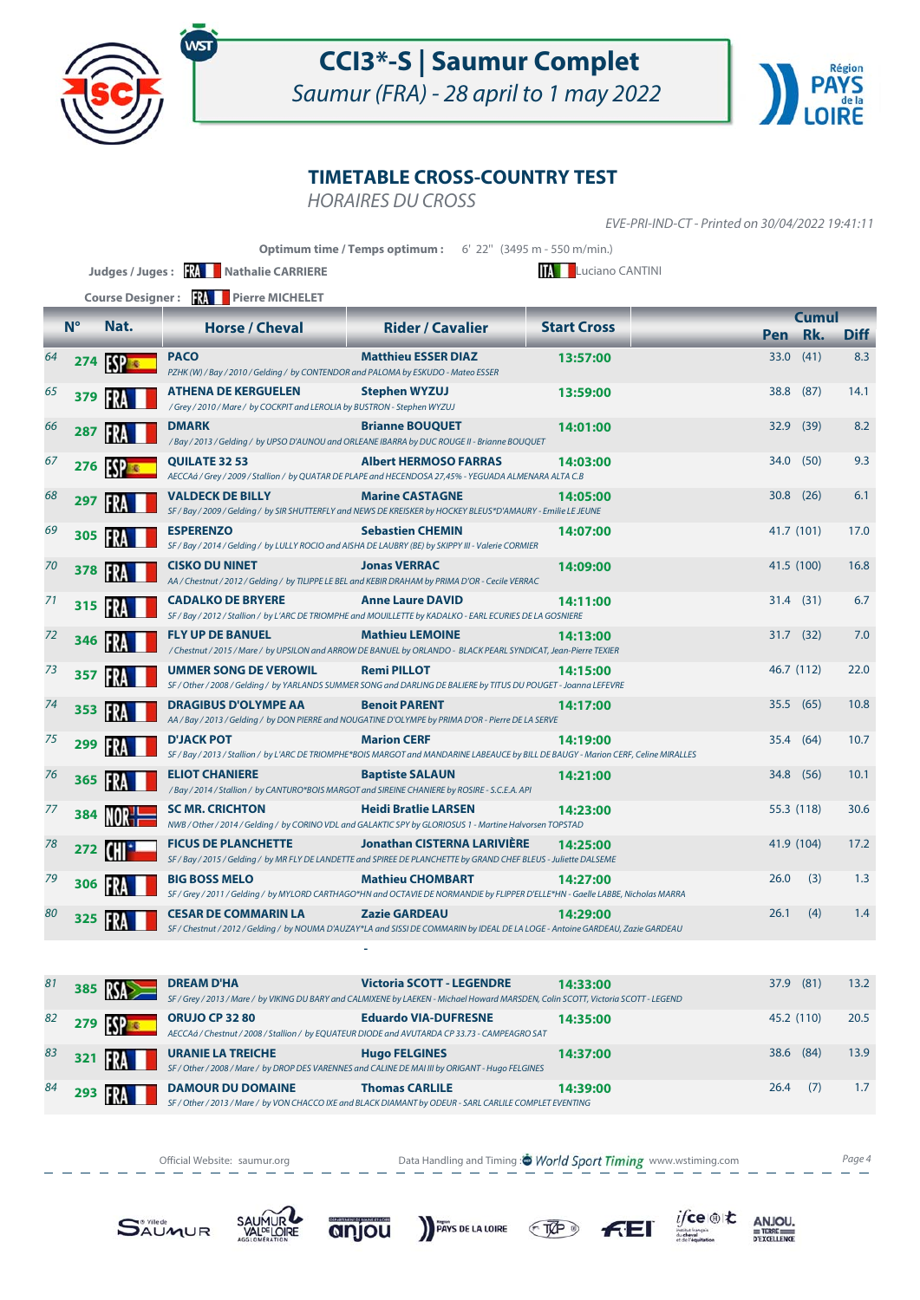

Saumur (FRA) - 28 april to 1 may 2022



### **TIMETABLE CROSS-COUNTRY TEST**

HORAIRES DU CROSS

EVE-PRI-IND-CT - Printed on 30/04/2022 19:41:11

|                |             |                        | Judges / Juges: <b>XX</b> Nathalie CARRIERE<br>Course Designer: <b>RA</b> Pierre MICHELET                               | Optimum time / Temps optimum: 6' 22" (3495 m - 550 m/min.)                                                                                                 | <b>IA Luciano CANTINI</b> |         |              |             |
|----------------|-------------|------------------------|-------------------------------------------------------------------------------------------------------------------------|------------------------------------------------------------------------------------------------------------------------------------------------------------|---------------------------|---------|--------------|-------------|
|                | $N^{\circ}$ | Nat.                   | <b>Horse / Cheval</b>                                                                                                   | <b>Rider / Cavalier</b>                                                                                                                                    | <b>Start Cross</b>        |         | <b>Cumul</b> |             |
|                |             |                        |                                                                                                                         |                                                                                                                                                            |                           | Pen Rk. |              | <b>Diff</b> |
| 64             | 274         | <b>ESP</b>             | <b>PACO</b><br>PZHK (W) / Bay / 2010 / Gelding / by CONTENDOR and PALOMA by ESKUDO - Mateo ESSER                        | <b>Matthieu ESSER DIAZ</b>                                                                                                                                 | 13:57:00                  | 33.0    | (41)         | 8.3         |
| 65             | 379         | FRA                    | <b>ATHENA DE KERGUELEN</b><br>/Grey / 2010 / Mare / by COCKPIT and LEROLIA by BUSTRON - Stephen WYZUJ                   | <b>Stephen WYZUJ</b>                                                                                                                                       | 13:59:00                  | 38.8    | (87)         | 14.1        |
| 66             | 287         | <b>FRA</b>             | <b>DMARK</b>                                                                                                            | <b>Brianne BOUQUET</b><br>/Bay / 2013 / Gelding / by UPSO D'AUNOU and ORLEANE IBARRA by DUC ROUGE II - Brianne BOUQUET                                     | 14:01:00                  | 32.9    | (39)         | 8.2         |
| 67             | 276         | <b>ESP<sub>s</sub></b> | <b>QUILATE 32 53</b>                                                                                                    | <b>Albert HERMOSO FARRAS</b><br>AECCAá / Grey / 2009 / Stallion / by QUATAR DE PLAPE and HECENDOSA 27,45% - YEGUADA ALMENARA ALTA C.B                      | 14:03:00                  |         | 34.0 (50)    | 9.3         |
| 68             | 297         |                        | <b>VALDECK DE BILLY</b>                                                                                                 | <b>Marine CASTAGNE</b><br>SF / Bay / 2009 / Gelding / by SIR SHUTTERFLY and NEWS DE KREISKER by HOCKEY BLEUS*D'AMAURY - Emilie LE JEUNE                    | 14:05:00                  | 30.8    | (26)         | 6.1         |
| 69             | 305         | FRA                    | <b>ESPERENZO</b><br>SF / Bay / 2014 / Gelding / by LULLY ROCIO and AISHA DE LAUBRY (BE) by SKIPPY III - Valerie CORMIER | <b>Sebastien CHEMIN</b>                                                                                                                                    | 14:07:00                  |         | 41.7 (101)   | 17.0        |
| 70             | 378         | FR                     | <b>CISKO DU NINET</b>                                                                                                   | <b>Jonas VERRAC</b><br>AA / Chestnut / 2012 / Gelding / by TILIPPE LE BEL and KEBIR DRAHAM by PRIMA D'OR - Cecile VERRAC                                   | 14:09:00                  |         | 41.5 (100)   | 16.8        |
| 71             | 315         | FR.                    | <b>CADALKO DE BRYERE</b>                                                                                                | <b>Anne Laure DAVID</b><br>SF / Bay / 2012 / Stallion / by L'ARC DE TRIOMPHE and MOUILLETTE by KADALKO - EARL ECURIES DE LA GOSNIERE                       | 14:11:00                  |         | $31.4$ (31)  | 6.7         |
| 72             | 346         | FR                     | <b>FLY UP DE BANUEL</b>                                                                                                 | <b>Mathieu LEMOINE</b><br>/ Chestnut / 2015 / Mare / by UPSILON and ARROW DE BANUEL by ORLANDO - BLACK PEARL SYNDICAT, Jean-Pierre TEXIER                  | 14:13:00                  | 31.7    | (32)         | 7.0         |
| 73             | 357         | FRA                    | <b>UMMER SONG DE VEROWIL</b>                                                                                            | <b>Remi PILLOT</b><br>SF / Other / 2008 / Gelding / by YARLANDS SUMMER SONG and DARLING DE BALIERE by TITUS DU POUGET - Joanna LEFEVRE                     | 14:15:00                  |         | 46.7 (112)   | 22.0        |
| 74             | 353         | <b>FRA</b>             | <b>DRAGIBUS D'OLYMPE AA</b>                                                                                             | <b>Benoit PARENT</b><br>AA / Bay / 2013 / Gelding / by DON PIERRE and NOUGATINE D'OLYMPE by PRIMA D'OR - Pierre DE LA SERVE                                | 14:17:00                  | 35.5    | (65)         | 10.8        |
| 75             | 299         | FRA                    | <b>D'JACK POT</b>                                                                                                       | <b>Marion CERF</b><br>SF / Bay / 2013 / Stallion / by L'ARC DE TRIOMPHE*BOIS MARGOT and MANDARINE LABEAUCE by BILL DE BAUGY - Marion CERF, Celine MIRALLES | 14:19:00                  |         | 35.4 (64)    | 10.7        |
| 76             | 365         | IFRA                   | <b>ELIOT CHANIERE</b><br>/Bay / 2014 / Stallion / by CANTURO*BOIS MARGOT and SIREINE CHANIERE by ROSIRE - S.C.E.A. API  | <b>Baptiste SALAUN</b>                                                                                                                                     | 14:21:00                  | 34.8    | (56)         | 10.1        |
| 77             | 384         |                        | <b>SC MR. CRICHTON</b>                                                                                                  | <b>Heidi Bratlie LARSEN</b><br>NWB / Other / 2014 / Gelding / by CORINO VDL and GALAKTIC SPY by GLORIOSUS 1 - Martine Halvorsen TOPSTAD                    | 14:23:00                  |         | 55.3 (118)   | 30.6        |
| 78             | 272         | <b>CHI</b>             | <b>FICUS DE PLANCHETTE</b>                                                                                              | <b>Jonathan CISTERNA LARIVIÈRE</b><br>SF / Bay / 2015 / Gelding / by MR FLY DE LANDETTE and SPIREE DE PLANCHETTE by GRAND CHEF BLEUS - Juliette DALSEME    | 14:25:00                  |         | 41.9 (104)   | 17.2        |
| 79             | 306         | FRA                    | <b>BIG BOSS MELO</b>                                                                                                    | <b>Mathieu CHOMBART</b><br>SF / Grey / 2011 / Gelding / by MYLORD CARTHAGO*HN and OCTAVIE DE NORMANDIE by FLIPPER D'ELLE*HN - Gaelle LABBE, Nicholas MARRA | 14:27:00                  | 26.0    | (3)          | 1.3         |
| 80             | 325         | IFRA                   | <b>CESAR DE COMMARIN LA</b>                                                                                             | <b>Zazie GARDEAU</b><br>SF / Chestnut / 2012 / Gelding / by NOUMA D'AUZAY*LA and SISSI DE COMMARIN by IDEAL DE LA LOGE - Antoine GARDEAU, Zazie GARDEAU    | 14:29:00                  | 26.1    | (4)          | 1.4         |
|                |             |                        |                                                                                                                         |                                                                                                                                                            |                           |         |              |             |
| O <sub>1</sub> |             |                        | <b>DDEAM D'UA</b>                                                                                                       | <b>Victoria SCOTT LECENDEE</b>                                                                                                                             | 11.22.00                  |         | 270(01)      | 122         |

| 81 | 385 <b>KK</b>   | <b>DREAM D'HA</b>                                                                                                            | <b>Victoria SCOTT - LEGENDRE</b><br>SF / Grey / 2013 / Mare / by VIKING DU BARY and CALMIXENE by LAEKEN - Michael Howard MARSDEN, Colin SCOTT, Victoria SCOTT - LEGEND | 14:33:00 | 37.9       | (81) | 13.2 |
|----|-----------------|------------------------------------------------------------------------------------------------------------------------------|------------------------------------------------------------------------------------------------------------------------------------------------------------------------|----------|------------|------|------|
| 82 | 279 <b>SP</b>   | <b>ORUJO CP 32 80</b>                                                                                                        | <b>Eduardo VIA-DUFRESNE</b><br>AECCAá / Chestnut / 2008 / Stallion / by EQUATEUR DIODE and AVUTARDA CP 33.73 - CAMPEAGRO SAT                                           | 14:35:00 | 45.2 (110) |      | 20.5 |
| 83 | 321 <b>RA</b>   | <b>URANIE LA TREICHE</b><br>SF / Other / 2008 / Mare / by DROP DES VARENNES and CALINE DE MAI III by ORIGANT - Hugo FELGINES | <b>Hugo FELGINES</b>                                                                                                                                                   | 14:37:00 | 38.6 (84)  |      | 13.9 |
| 84 | 293 $R_{\rm A}$ | <b>DAMOUR DU DOMAINE</b>                                                                                                     | <b>Thomas CARLILE</b><br>SF / Other / 2013 / Mare / by VON CHACCO IXE and BLACK DIAMANT by ODEUR - SARL CARLILE COMPLET EVENTING                                       | 14:39:00 | 26.4       | (7)  | 1.7  |

Official Website: saumur.org **Data Handling and Timing : World Sport Timing** www.wstiming.com Page 4













 $\underset{\text{D'EXCELLING}}{\text{ANDU}}$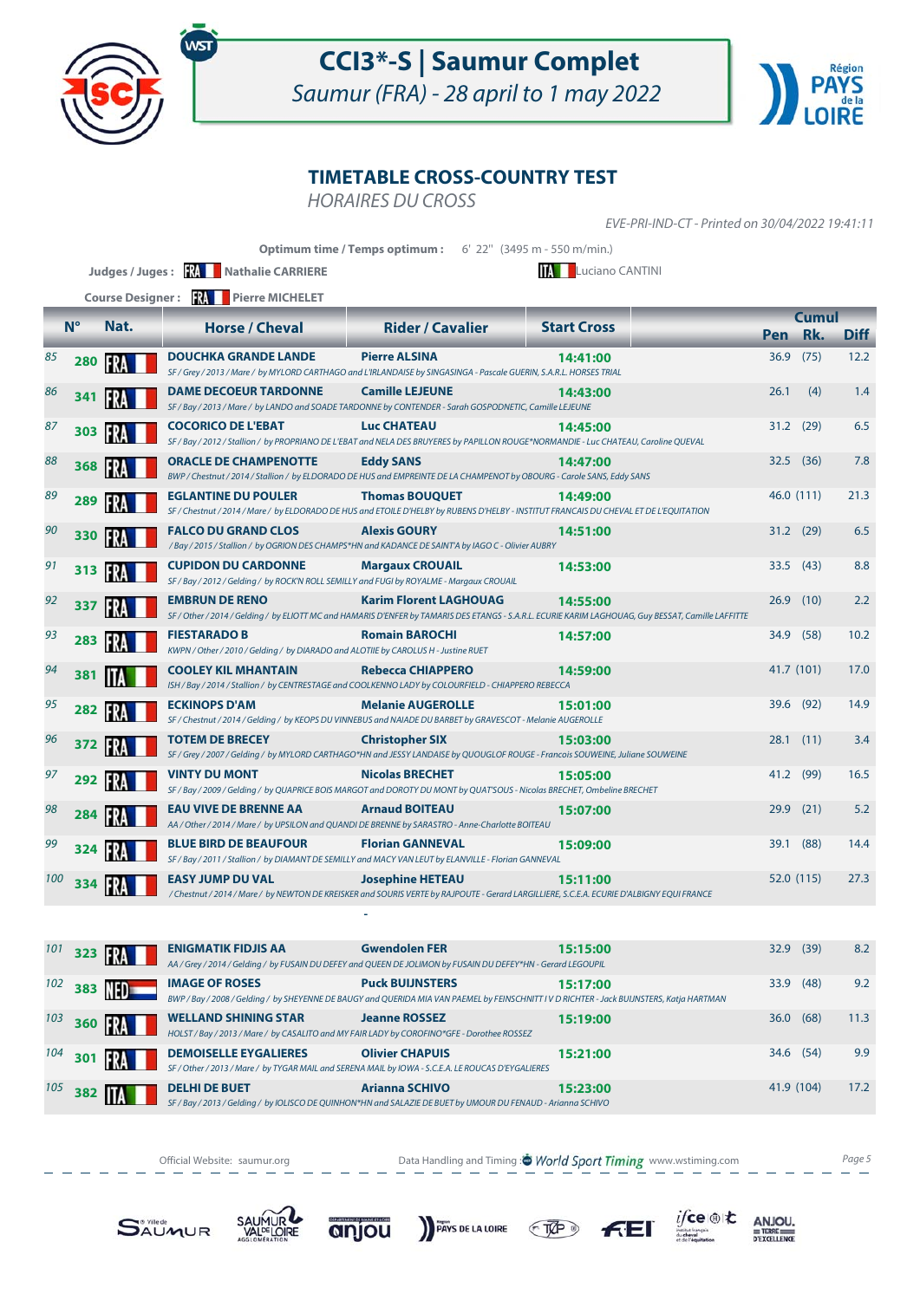

Saumur (FRA) - 28 april to 1 may 2022



### **TIMETABLE CROSS-COUNTRY TEST**

HORAIRES DU CROSS

EVE-PRI-IND-CT - Printed on 30/04/2022 19:41:11

|     | <b>Optimum time / Temps optimum:</b> 6' 22" (3495 m - 550 m/min.) |                         |                                                                                                                                                                   |                               |                                                                                                                                                                 |      |              |             |  |  |
|-----|-------------------------------------------------------------------|-------------------------|-------------------------------------------------------------------------------------------------------------------------------------------------------------------|-------------------------------|-----------------------------------------------------------------------------------------------------------------------------------------------------------------|------|--------------|-------------|--|--|
|     |                                                                   |                         | Judges / Juges: <b>WAN</b> Nathalie CARRIERE                                                                                                                      |                               | <b>TAL</b> Luciano CANTINI                                                                                                                                      |      |              |             |  |  |
|     |                                                                   | <b>Course Designer:</b> | <b>FRA</b> Pierre MICHELET                                                                                                                                        |                               |                                                                                                                                                                 |      |              |             |  |  |
|     | $N^{\circ}$                                                       | Nat.                    | <b>Horse / Cheval</b>                                                                                                                                             | <b>Rider / Cavalier</b>       | <b>Start Cross</b>                                                                                                                                              |      | <b>Cumul</b> |             |  |  |
|     |                                                                   |                         |                                                                                                                                                                   |                               |                                                                                                                                                                 |      | Pen Rk.      | <b>Diff</b> |  |  |
| 85  | 280                                                               | <b>FRA</b>              | <b>DOUCHKA GRANDE LANDE</b><br>SF / Grey / 2013 / Mare / by MYLORD CARTHAGO and L'IRLANDAISE by SINGASINGA - Pascale GUERIN, S.A.R.L. HORSES TRIAL                | <b>Pierre ALSINA</b>          | 14:41:00                                                                                                                                                        | 36.9 | (75)         | 12.2        |  |  |
| 86  | 341                                                               |                         | <b>DAME DECOEUR TARDONNE</b><br>SF / Bay / 2013 / Mare / by LANDO and SOADE TARDONNE by CONTENDER - Sarah GOSPODNETIC, Camille LEJEUNE                            | <b>Camille LEJEUNE</b>        | 14:43:00                                                                                                                                                        | 26.1 | (4)          | 1.4         |  |  |
| 87  | 303                                                               | ER                      | <b>COCORICO DE L'EBAT</b><br>SF / Bay / 2012 / Stallion / by PROPRIANO DE L'EBAT and NELA DES BRUYERES by PAPILLON ROUGE*NORMANDIE - Luc CHATEAU, Caroline QUEVAL | <b>Luc CHATEAU</b>            | 14:45:00                                                                                                                                                        |      | 31.2 (29)    | 6.5         |  |  |
| 88  | 368                                                               | IFRI                    | <b>ORACLE DE CHAMPENOTTE</b><br>BWP / Chestnut / 2014 / Stallion / by ELDORADO DE HUS and EMPREINTE DE LA CHAMPENOT by OBOURG - Carole SANS, Eddy SANS            | <b>Eddy SANS</b>              | 14:47:00                                                                                                                                                        | 32.5 | (36)         | 7.8         |  |  |
| 89  | 289                                                               |                         | <b>EGLANTINE DU POULER</b>                                                                                                                                        | <b>Thomas BOUQUET</b>         | 14:49:00<br>SF / Chestnut / 2014 / Mare / by ELDORADO DE HUS and ETOILE D'HELBY by RUBENS D'HELBY - INSTITUT FRANCAIS DU CHEVAL ET DE L'EQUITATION              |      | 46.0 (111)   | 21.3        |  |  |
| 90  | 330                                                               |                         | <b>FALCO DU GRAND CLOS</b><br>/Bay / 2015 / Stallion / by OGRION DES CHAMPS*HN and KADANCE DE SAINT'A by IAGO C - Olivier AUBRY                                   | <b>Alexis GOURY</b>           | 14:51:00                                                                                                                                                        |      | $31.2$ (29)  | 6.5         |  |  |
| 91  | 313                                                               | FR                      | <b>CUPIDON DU CARDONNE</b><br>SF / Bay / 2012 / Gelding / by ROCK'N ROLL SEMILLY and FUGI by ROYALME - Margaux CROUAIL                                            | <b>Margaux CROUAIL</b>        | 14:53:00                                                                                                                                                        | 33.5 | (43)         | 8.8         |  |  |
| 92  | 337                                                               | FR                      | <b>EMBRUN DE RENO</b>                                                                                                                                             | <b>Karim Florent LAGHOUAG</b> | 14:55:00<br>SF / Other / 2014 / Gelding / by ELIOTT MC and HAMARIS D'ENFER by TAMARIS DES ETANGS - S.A.R.L. ECURIE KARIM LAGHOUAG, Guy BESSAT, Camille LAFFITTE | 26.9 | (10)         | 2.2         |  |  |
| 93  | 283                                                               | IFR.                    | <b>FIESTARADO B</b><br>KWPN / Other / 2010 / Gelding / by DIARADO and ALOTIIE by CAROLUS H - Justine RUET                                                         | <b>Romain BAROCHI</b>         | 14:57:00                                                                                                                                                        | 34.9 | (58)         | 10.2        |  |  |
| 94  | 381                                                               |                         | <b>COOLEY KIL MHANTAIN</b><br>ISH / Bay / 2014 / Stallion / by CENTRESTAGE and COOLKENNO LADY by COLOURFIELD - CHIAPPERO REBECCA                                  | <b>Rebecca CHIAPPERO</b>      | 14:59:00                                                                                                                                                        |      | 41.7 (101)   | 17.0        |  |  |
| 95  | 282                                                               | FRA                     | <b>ECKINOPS D'AM</b><br>SF / Chestnut / 2014 / Gelding / by KEOPS DU VINNEBUS and NAIADE DU BARBET by GRAVESCOT - Melanie AUGEROLLE                               | <b>Melanie AUGEROLLE</b>      | 15:01:00                                                                                                                                                        |      | 39.6 (92)    | 14.9        |  |  |
| 96  | 372                                                               | FR.                     | <b>TOTEM DE BRECEY</b><br>SF / Grey / 2007 / Gelding / by MYLORD CARTHAGO*HN and JESSY LANDAISE by QUOUGLOF ROUGE - Francois SOUWEINE, Juliane SOUWEINE           | <b>Christopher SIX</b>        | 15:03:00                                                                                                                                                        |      | $28.1$ (11)  | 3.4         |  |  |
| 97  | 292                                                               | 197                     | <b>VINTY DU MONT</b><br>SF / Bay / 2009 / Gelding / by QUAPRICE BOIS MARGOT and DOROTY DU MONT by QUAT'SOUS - Nicolas BRECHET, Ombeline BRECHET                   | <b>Nicolas BRECHET</b>        | 15:05:00                                                                                                                                                        |      | 41.2 (99)    | 16.5        |  |  |
| 98  | 284                                                               |                         | <b>EAU VIVE DE BRENNE AA</b><br>AA / Other / 2014 / Mare / by UPSILON and QUANDI DE BRENNE by SARASTRO - Anne-Charlotte BOITEAU                                   | <b>Arnaud BOITEAU</b>         | 15:07:00                                                                                                                                                        | 29.9 | (21)         | 5.2         |  |  |
| 99  | 324                                                               |                         | <b>BLUE BIRD DE BEAUFOUR</b><br>SF / Bay / 2011 / Stallion / by DIAMANT DE SEMILLY and MACY VAN LEUT by ELANVILLE - Florian GANNEVAL                              | <b>Florian GANNEVAL</b>       | 15:09:00                                                                                                                                                        | 39.1 | (88)         | 14.4        |  |  |
| 100 | 334                                                               |                         | <b>EASY JUMP DU VAL</b>                                                                                                                                           | <b>Josephine HETEAU</b>       | 15:11:00<br>/ Chestnut / 2014 / Mare / by NEWTON DE KREISKER and SOURIS VERTE by RAJPOUTE - Gerard LARGILLIERE, S.C.E.A. ECURIE D'ALBIGNY EQUI FRANCE           |      | 52.0 (115)   | 27.3        |  |  |

| 101 | 323 <b>RA</b> |               | <b>ENIGMATIK FIDJIS AA</b>                                                                                                | <b>Gwendolen FER</b><br>AA / Grey / 2014 / Gelding / by FUSAIN DU DEFEY and QUEEN DE JOLIMON by FUSAIN DU DEFEY*HN - Gerard LEGOUPIL                                 | 15:15:00 | 32.9       | (39) | 8.2  |
|-----|---------------|---------------|---------------------------------------------------------------------------------------------------------------------------|----------------------------------------------------------------------------------------------------------------------------------------------------------------------|----------|------------|------|------|
| 102 |               | 383 <b>ND</b> | <b>IMAGE OF ROSES</b>                                                                                                     | <b>Puck BUIJNSTERS</b><br>BWP / Bay / 2008 / Gelding / by SHEYENNE DE BAUGY and QUERIDA MIA VAN PAEMEL by FEINSCHNITT I V D RICHTER - Jack BUIJNSTERS, Katja HARTMAN | 15:17:00 | 33.9       | (48) | 9.2  |
| 103 | <b>360 FM</b> |               | <b>WELLAND SHINING STAR</b><br>HOLST / Bay / 2013 / Mare / by CASALITO and MY FAIR LADY by COROFINO*GFE - Dorothee ROSSEZ | <b>Jeanne ROSSEZ</b>                                                                                                                                                 | 15:19:00 | 36.0       | (68) | 11.3 |
| 104 | 301           |               | <b>DEMOISELLE EYGALIERES</b>                                                                                              | <b>Olivier CHAPUIS</b><br>SF / Other / 2013 / Mare / by TYGAR MAIL and SERENA MAIL by IOWA - S.C.E.A. LE ROUCAS D'EYGALIERES                                         | 15:21:00 | 34.6 (54)  |      | 9.9  |
| 105 | 382           | <b>IIA</b>    | <b>DELHI DE BUET</b>                                                                                                      | <b>Arianna SCHIVO</b><br>SF / Bay / 2013 / Gelding / by IOLISCO DE QUINHON*HN and SALAZIE DE BUET by UMOUR DU FENAUD - Arianna SCHIVO                                | 15:23:00 | 41.9 (104) |      | 17.2 |

Official Website: saumur.org **Data Handling and Timing : World Sport Timing** www.wstiming.com Page 5







 **-** 







 $\begin{array}{r}\nANJOU, \\
# \text{TERE} \\
 \hline\n\n \text{PEXCELLENCE}\n\end{array}$